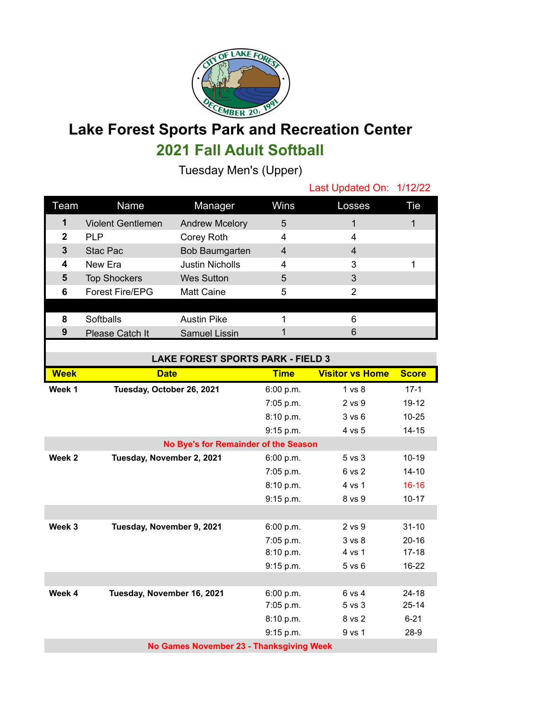

## **Lake Forest Sports Park and Recreation Center 2021 Fall Adult Softball**

Tuesday Men's (Upper)

|             |                          |                        |                | Last Updated On: 1/12/22 |     |
|-------------|--------------------------|------------------------|----------------|--------------------------|-----|
| Team        | Name                     | Manager                | Wins           | Losses                   | Tie |
| 1           | <b>Violent Gentlemen</b> | <b>Andrew Mcelory</b>  | 5              |                          |     |
| $\mathbf 2$ | <b>PLP</b>               | Corey Roth             | 4              | 4                        |     |
| 3           | Stac Pac                 | Bob Baumgarten         | $\overline{4}$ | 4                        |     |
| 4           | New Era                  | <b>Justin Nicholls</b> | 4              | 3                        |     |
| 5           | <b>Top Shockers</b>      | <b>Wes Sutton</b>      | 5              | 3                        |     |
| 6           | <b>Forest Fire/EPG</b>   | <b>Matt Caine</b>      | 5              | 2                        |     |
|             |                          |                        |                |                          |     |
| 8           | Softballs                | <b>Austin Pike</b>     |                | 6                        |     |
| 9           | Please Catch It          | <b>Samuel Lissin</b>   |                | 6                        |     |
|             |                          |                        |                |                          |     |

| <b>LAKE FOREST SPORTS PARK - FIELD 3</b> |                            |             |                        |              |  |
|------------------------------------------|----------------------------|-------------|------------------------|--------------|--|
| <b>Week</b>                              | <b>Date</b>                | <b>Time</b> | <b>Visitor vs Home</b> | <b>Score</b> |  |
| Week 1                                   | Tuesday, October 26, 2021  | 6:00 p.m.   | 1 <sub>vs</sub> 8      | $17-1$       |  |
|                                          |                            | 7:05 p.m.   | $2$ vs $9$             | $19 - 12$    |  |
|                                          |                            | 8:10 p.m.   | 3 v s 6                | $10 - 25$    |  |
|                                          |                            | 9:15 p.m.   | 4 vs 5                 | $14 - 15$    |  |
| No Bye's for Remainder of the Season     |                            |             |                        |              |  |
| Week 2                                   | Tuesday, November 2, 2021  | 6:00 p.m.   | 5 vs 3                 | $10 - 19$    |  |
|                                          |                            | 7:05 p.m.   | 6 vs 2                 | $14 - 10$    |  |
|                                          |                            | 8:10 p.m.   | 4 vs 1                 | $16 - 16$    |  |
|                                          |                            | 9:15 p.m.   | 8 vs 9                 | $10 - 17$    |  |
|                                          |                            |             |                        |              |  |
| Week 3                                   | Tuesday, November 9, 2021  | 6:00 p.m.   | $2$ vs $9$             | $31 - 10$    |  |
|                                          |                            | 7:05 p.m.   | 3 <sub>vs</sub> 8      | $20 - 16$    |  |
|                                          |                            | 8:10 p.m.   | 4 vs 1                 | $17 - 18$    |  |
|                                          |                            | 9:15 p.m.   | $5$ vs $6$             | $16 - 22$    |  |
|                                          |                            |             |                        |              |  |
| Week 4                                   | Tuesday, November 16, 2021 | 6:00 p.m.   | 6 vs 4                 | $24 - 18$    |  |
|                                          |                            | 7:05 p.m.   | $5$ vs $3$             | $25 - 14$    |  |
|                                          |                            | 8:10 p.m.   | 8 vs 2                 | $6 - 21$     |  |
|                                          |                            | 9:15 p.m.   | 9 vs 1                 | $28-9$       |  |
| No Games November 23 - Thanksgiving Week |                            |             |                        |              |  |